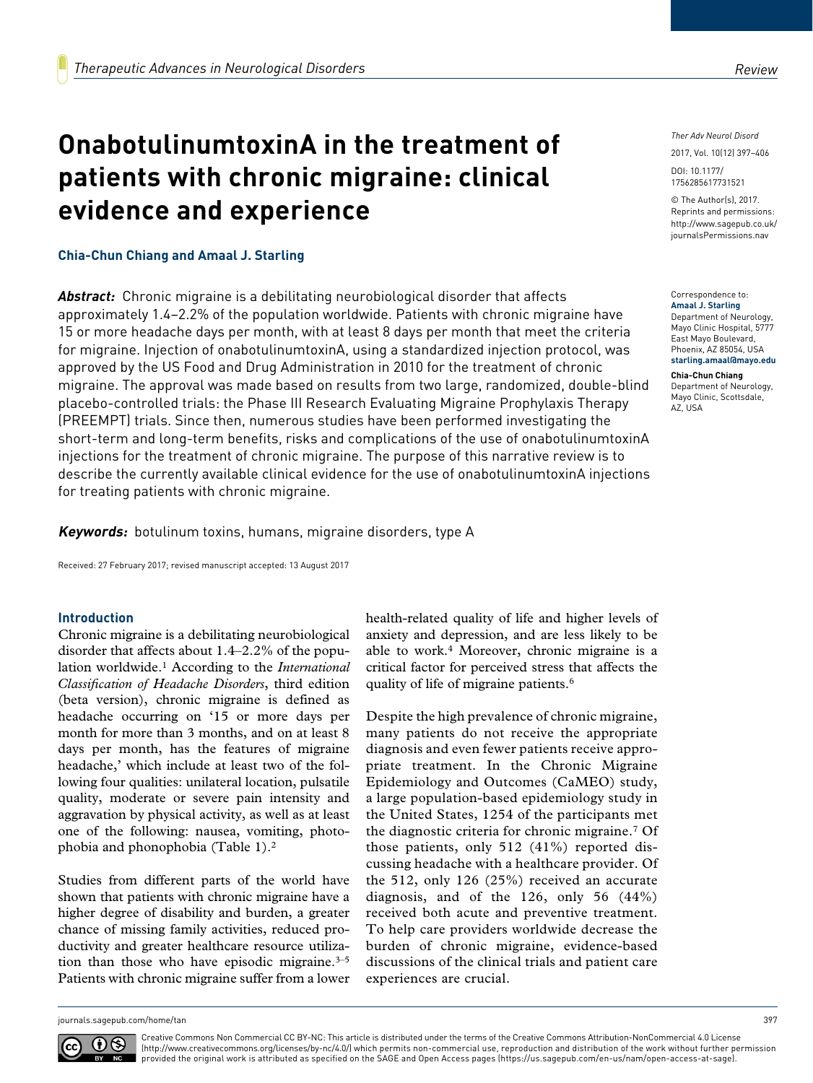# **OnabotulinumtoxinA in the treatment of patients with chronic migraine: clinical evidence and experience**

### **Chia-Chun Chiang and Amaal J. Starling**

*Abstract:* Chronic migraine is a debilitating neurobiological disorder that affects approximately 1.4–2.2% of the population worldwide. Patients with chronic migraine have 15 or more headache days per month, with at least 8 days per month that meet the criteria for migraine. Injection of onabotulinumtoxinA, using a standardized injection protocol, was approved by the US Food and Drug Administration in 2010 for the treatment of chronic migraine. The approval was made based on results from two large, randomized, double-blind placebo-controlled trials: the Phase III Research Evaluating Migraine Prophylaxis Therapy (PREEMPT) trials. Since then, numerous studies have been performed investigating the short-term and long-term benefits, risks and complications of the use of onabotulinumtoxinA injections for the treatment of chronic migraine. The purpose of this narrative review is to describe the currently available clinical evidence for the use of onabotulinumtoxinA injections for treating patients with chronic migraine.

**Keywords:** botulinum toxins, humans, migraine disorders, type A

Received: 27 February 2017; revised manuscript accepted: 13 August 2017

#### **Introduction**

Chronic migraine is a debilitating neurobiological disorder that affects about 1.4–2.2% of the population worldwide.1 According to the *International Classification of Headache Disorders*, third edition (beta version), chronic migraine is defined as headache occurring on '15 or more days per month for more than 3 months, and on at least 8 days per month, has the features of migraine headache,' which include at least two of the following four qualities: unilateral location, pulsatile quality, moderate or severe pain intensity and aggravation by physical activity, as well as at least one of the following: nausea, vomiting, photophobia and phonophobia (Table 1).2

Studies from different parts of the world have shown that patients with chronic migraine have a higher degree of disability and burden, a greater chance of missing family activities, reduced productivity and greater healthcare resource utilization than those who have episodic migraine. $3-5$ Patients with chronic migraine suffer from a lower health-related quality of life and higher levels of anxiety and depression, and are less likely to be able to work.4 Moreover, chronic migraine is a critical factor for perceived stress that affects the quality of life of migraine patients.<sup>6</sup>

Despite the high prevalence of chronic migraine, many patients do not receive the appropriate diagnosis and even fewer patients receive appropriate treatment. In the Chronic Migraine Epidemiology and Outcomes (CaMEO) study, a large population-based epidemiology study in the United States, 1254 of the participants met the diagnostic criteria for chronic migraine.7 Of those patients, only 512 (41%) reported discussing headache with a healthcare provider. Of the 512, only 126 (25%) received an accurate diagnosis, and of the 126, only 56 (44%) received both acute and preventive treatment. To help care providers worldwide decrease the burden of chronic migraine, evidence-based discussions of the clinical trials and patient care experiences are crucial.

*Ther Adv Neurol Disord*

DOI: 10.1177/ 2017, Vol. 10(12) 397–406

© The Author(s), 2017. Reprints and permissions: [http://www.sagepub.co.uk/](https://uk.sagepub.com/en-gb/journals-permissions) [journalsPermissions.nav](https://uk.sagepub.com/en-gb/journals-permissions)

https://doi.org/10.1177/1756285617731521 1756285617731521

#### Correspondence to: **Amaal J. Starling**

Department of Neurology, Mayo Clinic Hospital, 5777 East Mayo Boulevard, Phoenix, AZ 85054, USA **[starling.amaal@mayo.edu](mailto:starling.amaal@mayo.edu)**

#### **Chia-Chun Chiang**

Department of Neurology, Mayo Clinic, Scottsdale, AZ, USA



Creative Commons Non Commercial CC BY-NC: This article is distributed under the terms of the Creative Commons Attribution-NonCommercial 4.0 License (http://www.creativecommons.org/licenses/by-nc/4.0/) which permits non-commercial use, reproduction and distribution of the work without further permission provided the original work is attributed as specified on the SAGE and Open Access pages (https://us.sagepub.com/en-us/nam/open-access-at-sage).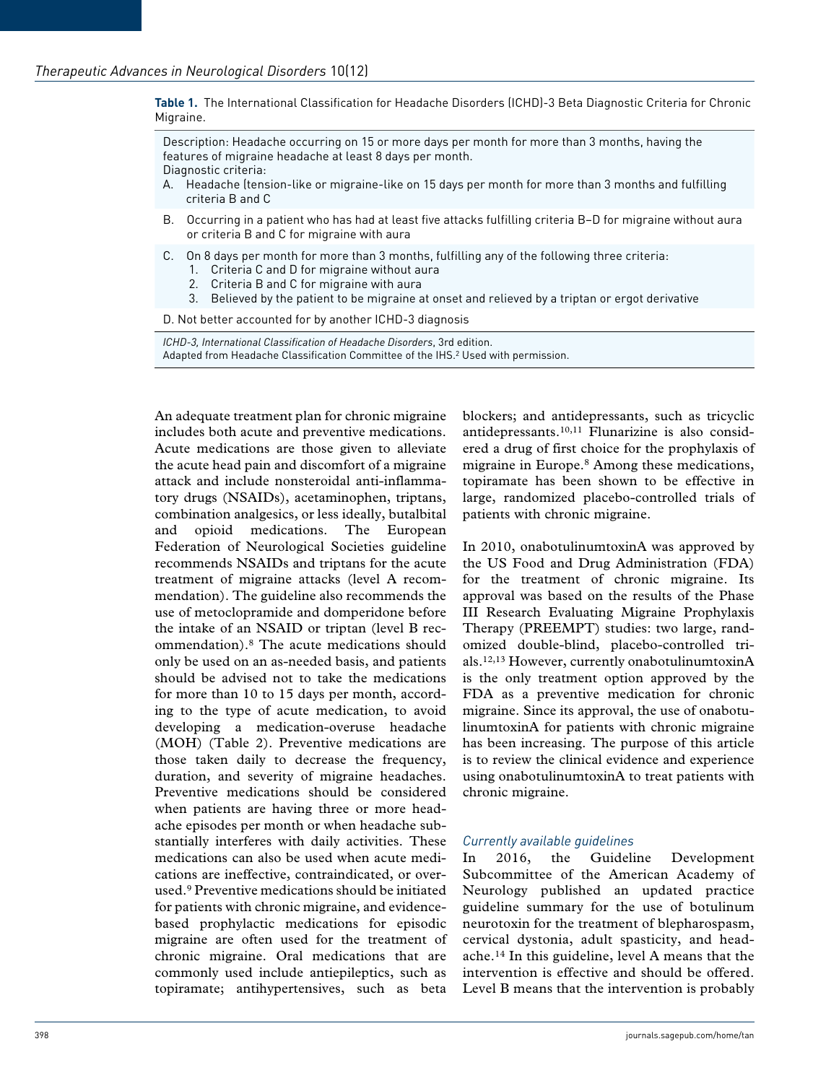**Table 1.** The International Classification for Headache Disorders (ICHD)-3 Beta Diagnostic Criteria for Chronic Migraine.

Description: Headache occurring on 15 or more days per month for more than 3 months, having the features of migraine headache at least 8 days per month.

Diagnostic criteria:

- A. Headache (tension-like or migraine-like on 15 days per month for more than 3 months and fulfilling criteria B and C
- B. Occurring in a patient who has had at least five attacks fulfilling criteria B–D for migraine without aura or criteria B and C for migraine with aura
- C. On 8 days per month for more than 3 months, fulfilling any of the following three criteria:
	- 1. Criteria C and D for migraine without aura
	- 2. Criteria B and C for migraine with aura
	- 3. Believed by the patient to be migraine at onset and relieved by a triptan or ergot derivative

D. Not better accounted for by another ICHD-3 diagnosis

*ICHD-3, International Classification of Headache Disorders*, 3rd edition. Adapted from Headache Classification Committee of the IHS.<sup>2</sup> Used with permission.

An adequate treatment plan for chronic migraine includes both acute and preventive medications. Acute medications are those given to alleviate the acute head pain and discomfort of a migraine attack and include nonsteroidal anti-inflammatory drugs (NSAIDs), acetaminophen, triptans, combination analgesics, or less ideally, butalbital and opioid medications. The European Federation of Neurological Societies guideline recommends NSAIDs and triptans for the acute treatment of migraine attacks (level A recommendation). The guideline also recommends the use of metoclopramide and domperidone before the intake of an NSAID or triptan (level B recommendation).8 The acute medications should only be used on an as-needed basis, and patients should be advised not to take the medications for more than 10 to 15 days per month, according to the type of acute medication, to avoid developing a medication-overuse headache (MOH) (Table 2). Preventive medications are those taken daily to decrease the frequency, duration, and severity of migraine headaches. Preventive medications should be considered when patients are having three or more headache episodes per month or when headache substantially interferes with daily activities. These medications can also be used when acute medications are ineffective, contraindicated, or overused.9 Preventive medications should be initiated for patients with chronic migraine, and evidencebased prophylactic medications for episodic migraine are often used for the treatment of chronic migraine. Oral medications that are commonly used include antiepileptics, such as topiramate; antihypertensives, such as beta

blockers; and antidepressants, such as tricyclic antidepressants.10,11 Flunarizine is also considered a drug of first choice for the prophylaxis of migraine in Europe.8 Among these medications, topiramate has been shown to be effective in large, randomized placebo-controlled trials of patients with chronic migraine.

In 2010, onabotulinumtoxinA was approved by the US Food and Drug Administration (FDA) for the treatment of chronic migraine. Its approval was based on the results of the Phase III Research Evaluating Migraine Prophylaxis Therapy (PREEMPT) studies: two large, randomized double-blind, placebo-controlled trials.12,13 However, currently onabotulinumtoxinA is the only treatment option approved by the FDA as a preventive medication for chronic migraine. Since its approval, the use of onabotulinumtoxinA for patients with chronic migraine has been increasing. The purpose of this article is to review the clinical evidence and experience using onabotulinumtoxinA to treat patients with chronic migraine.

#### *Currently available guidelines*

In 2016, the Guideline Development Subcommittee of the American Academy of Neurology published an updated practice guideline summary for the use of botulinum neurotoxin for the treatment of blepharospasm, cervical dystonia, adult spasticity, and headache.14 In this guideline, level A means that the intervention is effective and should be offered. Level B means that the intervention is probably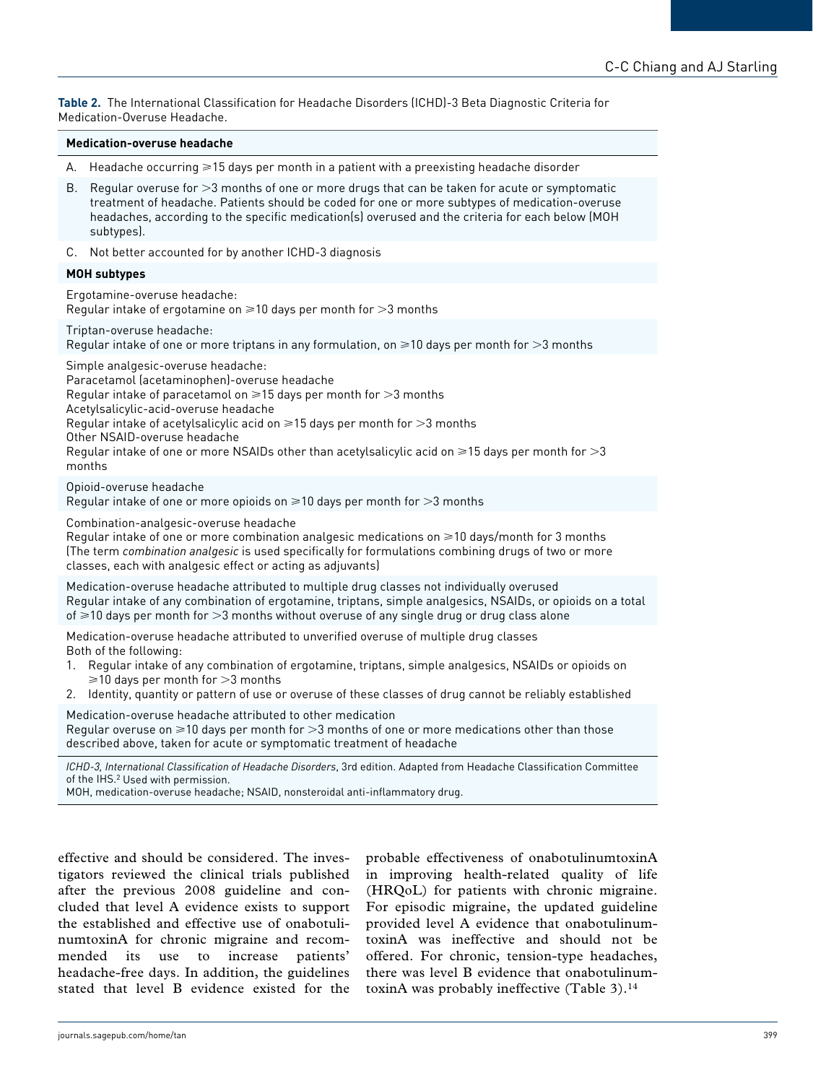**Table 2.** The International Classification for Headache Disorders (ICHD)-3 Beta Diagnostic Criteria for Medication-Overuse Headache.

#### **Medication-overuse headache**

- A. Headache occurring  $\geq 15$  days per month in a patient with a preexisting headache disorder
- B. Regular overuse for >3 months of one or more drugs that can be taken for acute or symptomatic treatment of headache. Patients should be coded for one or more subtypes of medication-overuse headaches, according to the specific medication(s) overused and the criteria for each below (MOH subtypes).
- C. Not better accounted for by another ICHD-3 diagnosis

#### **MOH subtypes**

Ergotamine-overuse headache:

Regular intake of ergotamine on  $\geq 10$  days per month for  $>3$  months

Triptan-overuse headache:

Regular intake of one or more triptans in any formulation, on  $\geq$ 10 days per month for  $>$ 3 months

Simple analgesic-overuse headache:

Paracetamol (acetaminophen)-overuse headache

Regular intake of paracetamol on  $\geq 15$  days per month for  $>3$  months

Acetylsalicylic-acid-overuse headache

Regular intake of acetylsalicylic acid on  $\geq 15$  days per month for  $>3$  months

Other NSAID-overuse headache

Regular intake of one or more NSAIDs other than acetylsalicylic acid on  $\geq 15$  days per month for  $>3$ months

Opioid-overuse headache

Regular intake of one or more opioids on  $\geq 10$  days per month for  $>3$  months

Combination-analgesic-overuse headache

Regular intake of one or more combination analgesic medications on  $\geq 10$  days/month for 3 months (The term *combination analgesic* is used specifically for formulations combining drugs of two or more classes, each with analgesic effect or acting as adjuvants)

Medication-overuse headache attributed to multiple drug classes not individually overused Regular intake of any combination of ergotamine, triptans, simple analgesics, NSAIDs, or opioids on a total of  $\geq$ 10 days per month for  $>$ 3 months without overuse of any single drug or drug class alone

Medication-overuse headache attributed to unverified overuse of multiple drug classes Both of the following:

- 1. Regular intake of any combination of ergotamine, triptans, simple analgesics, NSAIDs or opioids on  $\geq$ 10 days per month for  $>$ 3 months
- 2. Identity, quantity or pattern of use or overuse of these classes of drug cannot be reliably established

Medication-overuse headache attributed to other medication Regular overuse on  $\geq 10$  days per month for  $>3$  months of one or more medications other than those described above, taken for acute or symptomatic treatment of headache

*ICHD-3, International Classification of Headache Disorders*, 3rd edition. Adapted from Headache Classification Committee of the IHS.2 Used with permission.

MOH, medication-overuse headache; NSAID, nonsteroidal anti-inflammatory drug.

effective and should be considered. The investigators reviewed the clinical trials published after the previous 2008 guideline and concluded that level A evidence exists to support the established and effective use of onabotulinumtoxinA for chronic migraine and recommended its use to increase patients' headache-free days. In addition, the guidelines stated that level B evidence existed for the probable effectiveness of onabotulinumtoxinA in improving health-related quality of life (HRQoL) for patients with chronic migraine. For episodic migraine, the updated guideline provided level A evidence that onabotulinumtoxinA was ineffective and should not be offered. For chronic, tension-type headaches, there was level B evidence that onabotulinumtoxinA was probably ineffective (Table 3).14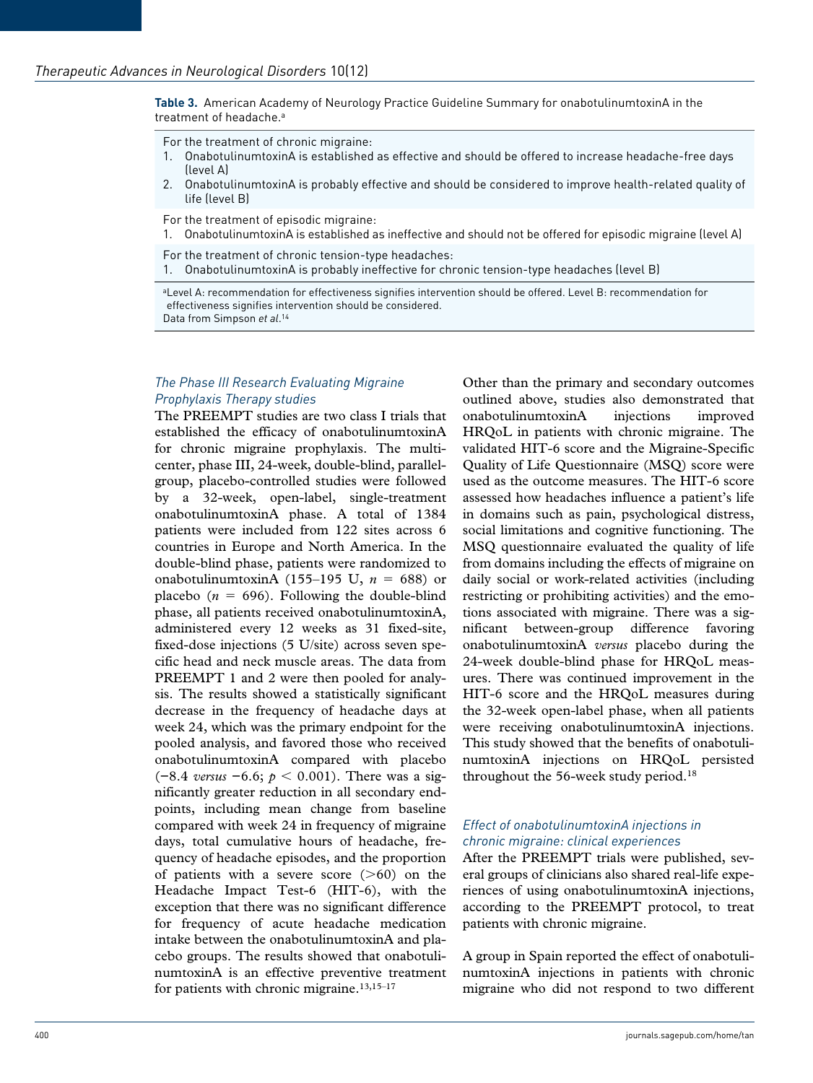**Table 3.** American Academy of Neurology Practice Guideline Summary for onabotulinumtoxinA in the treatment of headache.<sup>a</sup>

For the treatment of chronic migraine:

- 1. OnabotulinumtoxinA is established as effective and should be offered to increase headache-free days (level A)
- 2. OnabotulinumtoxinA is probably effective and should be considered to improve health-related quality of life (level B)

For the treatment of episodic migraine:

1. OnabotulinumtoxinA is established as ineffective and should not be offered for episodic migraine (level A)

For the treatment of chronic tension-type headaches: 1. OnabotulinumtoxinA is probably ineffective for chronic tension-type headaches (level B)

aLevel A: recommendation for effectiveness signifies intervention should be offered. Level B: recommendation for effectiveness signifies intervention should be considered. Data from Simpson *et al*. 14

# *The Phase III Research Evaluating Migraine Prophylaxis Therapy studies*

The PREEMPT studies are two class I trials that established the efficacy of onabotulinumtoxinA for chronic migraine prophylaxis. The multicenter, phase III, 24-week, double-blind, parallelgroup, placebo-controlled studies were followed by a 32-week, open-label, single-treatment onabotulinumtoxinA phase. A total of 1384 patients were included from 122 sites across 6 countries in Europe and North America. In the double-blind phase, patients were randomized to onabotulinumtoxinA (155–195 U,  $n = 688$ ) or placebo  $(n = 696)$ . Following the double-blind phase, all patients received onabotulinumtoxinA, administered every 12 weeks as 31 fixed-site, fixed-dose injections (5 U/site) across seven specific head and neck muscle areas. The data from PREEMPT 1 and 2 were then pooled for analysis. The results showed a statistically significant decrease in the frequency of headache days at week 24, which was the primary endpoint for the pooled analysis, and favored those who received onabotulinumtoxinA compared with placebo (−8.4 *versus* −6.6; *p* < 0.001). There was a significantly greater reduction in all secondary endpoints, including mean change from baseline compared with week 24 in frequency of migraine days, total cumulative hours of headache, frequency of headache episodes, and the proportion of patients with a severe score  $(>60)$  on the Headache Impact Test-6 (HIT-6), with the exception that there was no significant difference for frequency of acute headache medication intake between the onabotulinumtoxinA and placebo groups. The results showed that onabotulinumtoxinA is an effective preventive treatment for patients with chronic migraine. $13,15-17$ 

Other than the primary and secondary outcomes outlined above, studies also demonstrated that onabotulinumtoxinA injections improved HRQoL in patients with chronic migraine. The validated HIT-6 score and the Migraine-Specific Quality of Life Questionnaire (MSQ) score were used as the outcome measures. The HIT-6 score assessed how headaches influence a patient's life in domains such as pain, psychological distress, social limitations and cognitive functioning. The MSQ questionnaire evaluated the quality of life from domains including the effects of migraine on daily social or work-related activities (including restricting or prohibiting activities) and the emotions associated with migraine. There was a significant between-group difference favoring onabotulinumtoxinA *versus* placebo during the 24-week double-blind phase for HRQoL measures. There was continued improvement in the HIT-6 score and the HRQoL measures during the 32-week open-label phase, when all patients were receiving onabotulinumtoxinA injections. This study showed that the benefits of onabotulinumtoxinA injections on HRQoL persisted throughout the 56-week study period.<sup>18</sup>

#### *Effect of onabotulinumtoxinA injections in chronic migraine: clinical experiences*

After the PREEMPT trials were published, several groups of clinicians also shared real-life experiences of using onabotulinumtoxinA injections, according to the PREEMPT protocol, to treat patients with chronic migraine.

A group in Spain reported the effect of onabotulinumtoxinA injections in patients with chronic migraine who did not respond to two different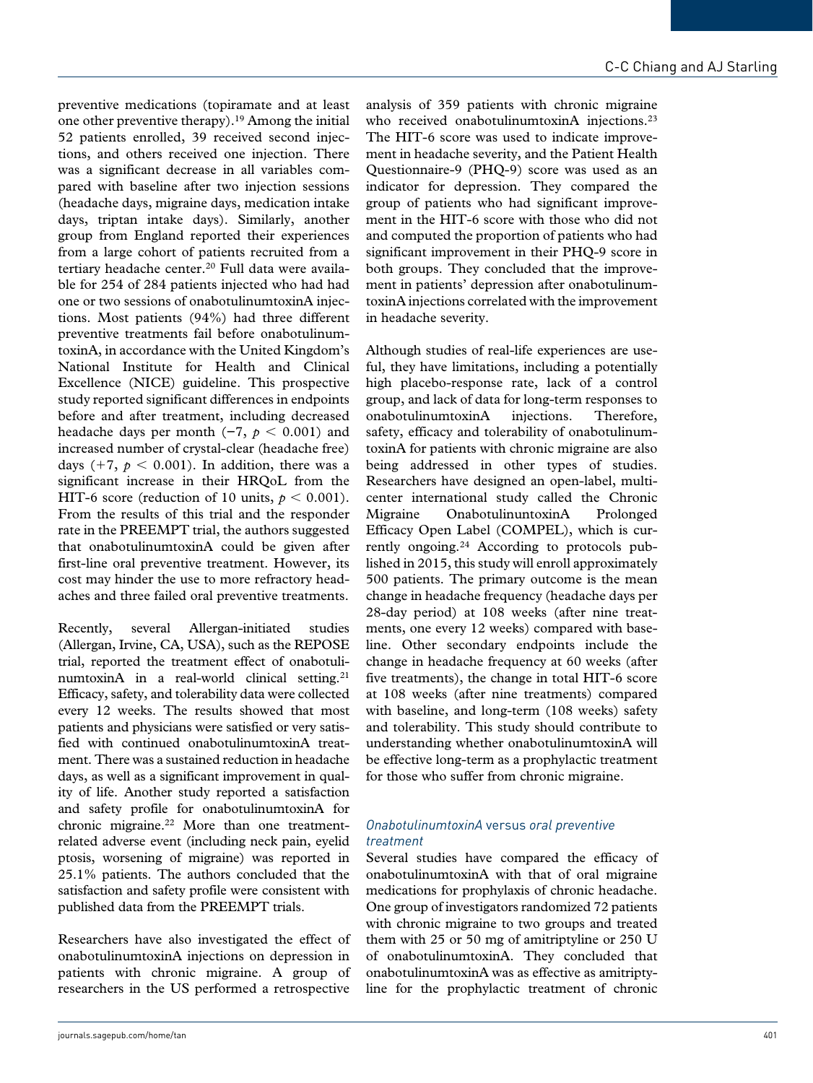preventive medications (topiramate and at least one other preventive therapy).19 Among the initial 52 patients enrolled, 39 received second injections, and others received one injection. There was a significant decrease in all variables compared with baseline after two injection sessions (headache days, migraine days, medication intake days, triptan intake days). Similarly, another group from England reported their experiences from a large cohort of patients recruited from a tertiary headache center.<sup>20</sup> Full data were available for 254 of 284 patients injected who had had one or two sessions of onabotulinumtoxinA injections. Most patients (94%) had three different preventive treatments fail before onabotulinumtoxinA, in accordance with the United Kingdom's National Institute for Health and Clinical Excellence (NICE) guideline. This prospective study reported significant differences in endpoints before and after treatment, including decreased headache days per month ( $-7$ ,  $p < 0.001$ ) and increased number of crystal-clear (headache free) days  $(+7, p < 0.001)$ . In addition, there was a significant increase in their HRQoL from the HIT-6 score (reduction of 10 units,  $p < 0.001$ ). From the results of this trial and the responder rate in the PREEMPT trial, the authors suggested that onabotulinumtoxinA could be given after first-line oral preventive treatment. However, its cost may hinder the use to more refractory headaches and three failed oral preventive treatments.

Recently, several Allergan-initiated studies (Allergan, Irvine, CA, USA), such as the REPOSE trial, reported the treatment effect of onabotulinumtoxinA in a real-world clinical setting.<sup>21</sup> Efficacy, safety, and tolerability data were collected every 12 weeks. The results showed that most patients and physicians were satisfied or very satisfied with continued onabotulinumtoxinA treatment. There was a sustained reduction in headache days, as well as a significant improvement in quality of life. Another study reported a satisfaction and safety profile for onabotulinumtoxinA for chronic migraine.22 More than one treatmentrelated adverse event (including neck pain, eyelid ptosis, worsening of migraine) was reported in 25.1% patients. The authors concluded that the satisfaction and safety profile were consistent with published data from the PREEMPT trials.

Researchers have also investigated the effect of onabotulinumtoxinA injections on depression in patients with chronic migraine. A group of researchers in the US performed a retrospective

analysis of 359 patients with chronic migraine who received onabotulinumtoxinA injections.<sup>23</sup> The HIT-6 score was used to indicate improvement in headache severity, and the Patient Health Questionnaire-9 (PHQ-9) score was used as an indicator for depression. They compared the group of patients who had significant improvement in the HIT-6 score with those who did not and computed the proportion of patients who had significant improvement in their PHQ-9 score in both groups. They concluded that the improvement in patients' depression after onabotulinumtoxinA injections correlated with the improvement in headache severity.

Although studies of real-life experiences are useful, they have limitations, including a potentially high placebo-response rate, lack of a control group, and lack of data for long-term responses to onabotulinumtoxinA injections. Therefore, safety, efficacy and tolerability of onabotulinumtoxinA for patients with chronic migraine are also being addressed in other types of studies. Researchers have designed an open-label, multicenter international study called the Chronic Migraine OnabotulinuntoxinA Prolonged Efficacy Open Label (COMPEL), which is currently ongoing.24 According to protocols published in 2015, this study will enroll approximately 500 patients. The primary outcome is the mean change in headache frequency (headache days per 28-day period) at 108 weeks (after nine treatments, one every 12 weeks) compared with baseline. Other secondary endpoints include the change in headache frequency at 60 weeks (after five treatments), the change in total HIT-6 score at 108 weeks (after nine treatments) compared with baseline, and long-term (108 weeks) safety and tolerability. This study should contribute to understanding whether onabotulinumtoxinA will be effective long-term as a prophylactic treatment for those who suffer from chronic migraine.

# *OnabotulinumtoxinA* versus *oral preventive treatment*

Several studies have compared the efficacy of onabotulinumtoxinA with that of oral migraine medications for prophylaxis of chronic headache. One group of investigators randomized 72 patients with chronic migraine to two groups and treated them with 25 or 50 mg of amitriptyline or 250 U of onabotulinumtoxinA. They concluded that onabotulinumtoxinA was as effective as amitriptyline for the prophylactic treatment of chronic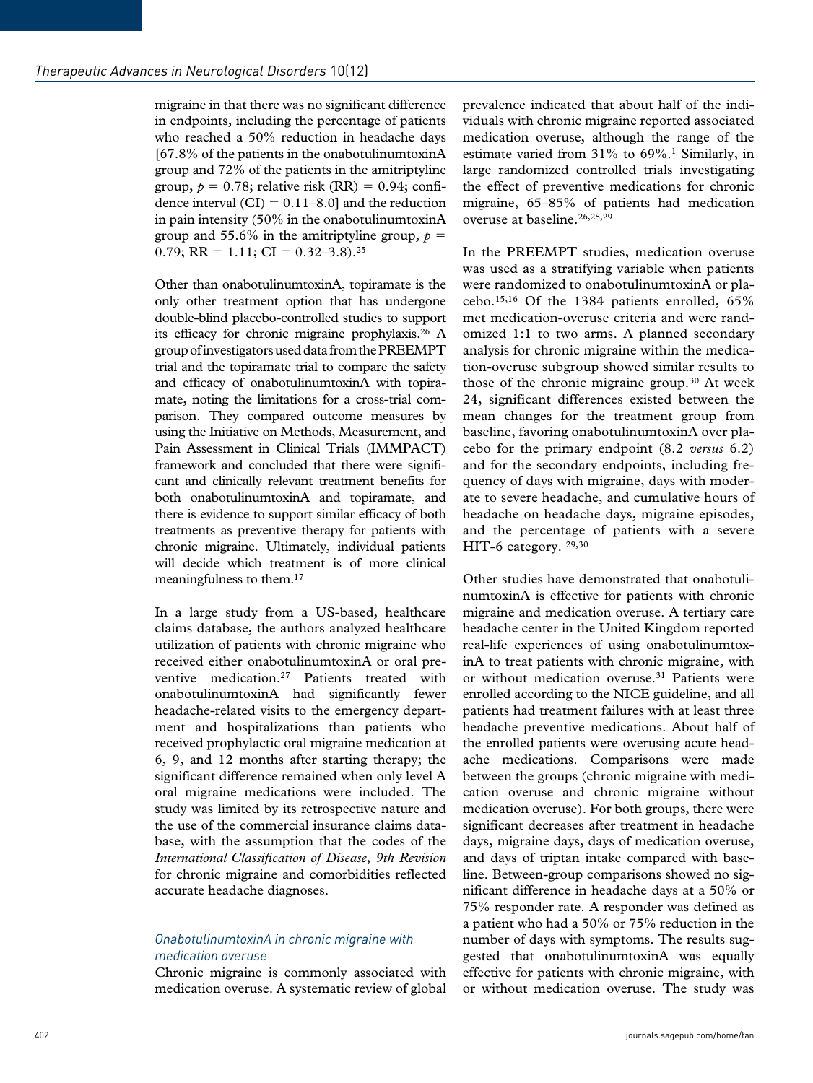migraine in that there was no significant difference in endpoints, including the percentage of patients who reached a 50% reduction in headache days [67.8% of the patients in the onabotulinumtoxinA group and 72% of the patients in the amitriptyline group,  $p = 0.78$ ; relative risk  $(RR) = 0.94$ ; confidence interval  $(CI) = 0.11-8.0$ ] and the reduction in pain intensity (50% in the onabotulinumtoxinA group and 55.6% in the amitriptyline group,  $p =$ 0.79;  $RR = 1.11$ ;  $CI = 0.32 - 3.8$ ).<sup>25</sup>

Other than onabotulinumtoxinA, topiramate is the only other treatment option that has undergone double-blind placebo-controlled studies to support its efficacy for chronic migraine prophylaxis.26 A group of investigators used data from the PREEMPT trial and the topiramate trial to compare the safety and efficacy of onabotulinumtoxinA with topiramate, noting the limitations for a cross-trial comparison. They compared outcome measures by using the Initiative on Methods, Measurement, and Pain Assessment in Clinical Trials (IMMPACT) framework and concluded that there were significant and clinically relevant treatment benefits for both onabotulinumtoxinA and topiramate, and there is evidence to support similar efficacy of both treatments as preventive therapy for patients with chronic migraine. Ultimately, individual patients will decide which treatment is of more clinical meaningfulness to them.<sup>17</sup>

In a large study from a US-based, healthcare claims database, the authors analyzed healthcare utilization of patients with chronic migraine who received either onabotulinumtoxinA or oral preventive medication.<sup>27</sup> Patients treated with onabotulinumtoxinA had significantly fewer headache-related visits to the emergency department and hospitalizations than patients who received prophylactic oral migraine medication at 6, 9, and 12 months after starting therapy; the significant difference remained when only level A oral migraine medications were included. The study was limited by its retrospective nature and the use of the commercial insurance claims database, with the assumption that the codes of the *International Classification of Disease, 9th Revision* for chronic migraine and comorbidities reflected accurate headache diagnoses.

# *OnabotulinumtoxinA in chronic migraine with medication overuse*

Chronic migraine is commonly associated with medication overuse. A systematic review of global prevalence indicated that about half of the individuals with chronic migraine reported associated medication overuse, although the range of the estimate varied from 31% to 69%.<sup>1</sup> Similarly, in large randomized controlled trials investigating the effect of preventive medications for chronic migraine, 65–85% of patients had medication overuse at baseline.<sup>26,28,29</sup>

In the PREEMPT studies, medication overuse was used as a stratifying variable when patients were randomized to onabotulinumtoxinA or placebo.15,16 Of the 1384 patients enrolled, 65% met medication-overuse criteria and were randomized 1:1 to two arms. A planned secondary analysis for chronic migraine within the medication-overuse subgroup showed similar results to those of the chronic migraine group.30 At week 24, significant differences existed between the mean changes for the treatment group from baseline, favoring onabotulinumtoxinA over placebo for the primary endpoint (8.2 *versus* 6.2) and for the secondary endpoints, including frequency of days with migraine, days with moderate to severe headache, and cumulative hours of headache on headache days, migraine episodes, and the percentage of patients with a severe HIT-6 category. 29,30

Other studies have demonstrated that onabotulinumtoxinA is effective for patients with chronic migraine and medication overuse. A tertiary care headache center in the United Kingdom reported real-life experiences of using onabotulinumtoxinA to treat patients with chronic migraine, with or without medication overuse.<sup>31</sup> Patients were enrolled according to the NICE guideline, and all patients had treatment failures with at least three headache preventive medications. About half of the enrolled patients were overusing acute headache medications. Comparisons were made between the groups (chronic migraine with medication overuse and chronic migraine without medication overuse). For both groups, there were significant decreases after treatment in headache days, migraine days, days of medication overuse, and days of triptan intake compared with baseline. Between-group comparisons showed no significant difference in headache days at a 50% or 75% responder rate. A responder was defined as a patient who had a 50% or 75% reduction in the number of days with symptoms. The results suggested that onabotulinumtoxinA was equally effective for patients with chronic migraine, with or without medication overuse. The study was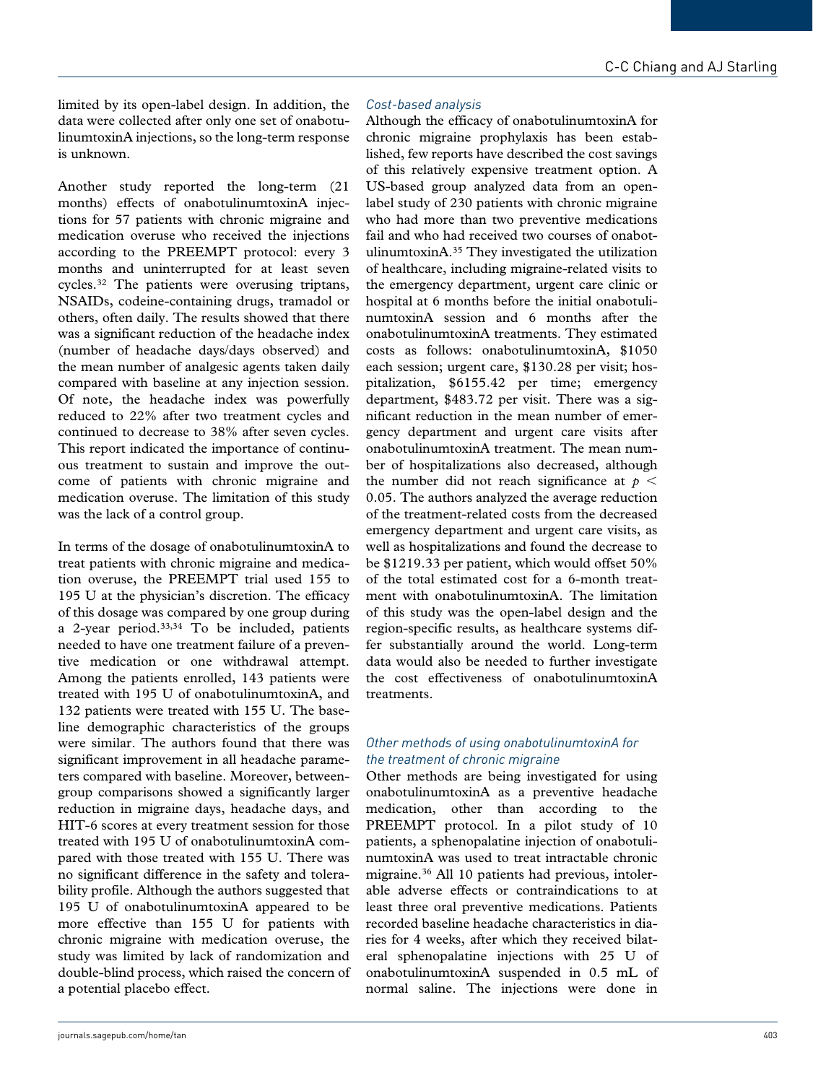limited by its open-label design. In addition, the data were collected after only one set of onabotulinumtoxinA injections, so the long-term response is unknown.

Another study reported the long-term (21 months) effects of onabotulinumtoxinA injections for 57 patients with chronic migraine and medication overuse who received the injections according to the PREEMPT protocol: every 3 months and uninterrupted for at least seven cycles.32 The patients were overusing triptans, NSAIDs, codeine-containing drugs, tramadol or others, often daily. The results showed that there was a significant reduction of the headache index (number of headache days/days observed) and the mean number of analgesic agents taken daily compared with baseline at any injection session. Of note, the headache index was powerfully reduced to 22% after two treatment cycles and continued to decrease to 38% after seven cycles. This report indicated the importance of continuous treatment to sustain and improve the outcome of patients with chronic migraine and medication overuse. The limitation of this study was the lack of a control group.

In terms of the dosage of onabotulinumtoxinA to treat patients with chronic migraine and medication overuse, the PREEMPT trial used 155 to 195 U at the physician's discretion. The efficacy of this dosage was compared by one group during a 2-year period.33,34 To be included, patients needed to have one treatment failure of a preventive medication or one withdrawal attempt. Among the patients enrolled, 143 patients were treated with 195 U of onabotulinumtoxinA, and 132 patients were treated with 155 U. The baseline demographic characteristics of the groups were similar. The authors found that there was significant improvement in all headache parameters compared with baseline. Moreover, betweengroup comparisons showed a significantly larger reduction in migraine days, headache days, and HIT-6 scores at every treatment session for those treated with 195 U of onabotulinumtoxinA compared with those treated with 155 U. There was no significant difference in the safety and tolerability profile. Although the authors suggested that 195 U of onabotulinumtoxinA appeared to be more effective than 155 U for patients with chronic migraine with medication overuse, the study was limited by lack of randomization and double-blind process, which raised the concern of a potential placebo effect.

### *Cost-based analysis*

Although the efficacy of onabotulinumtoxinA for chronic migraine prophylaxis has been established, few reports have described the cost savings of this relatively expensive treatment option. A US-based group analyzed data from an openlabel study of 230 patients with chronic migraine who had more than two preventive medications fail and who had received two courses of onabotulinumtoxinA.35 They investigated the utilization of healthcare, including migraine-related visits to the emergency department, urgent care clinic or hospital at 6 months before the initial onabotulinumtoxinA session and 6 months after the onabotulinumtoxinA treatments. They estimated costs as follows: onabotulinumtoxinA, \$1050 each session; urgent care, \$130.28 per visit; hospitalization, \$6155.42 per time; emergency department, \$483.72 per visit. There was a significant reduction in the mean number of emergency department and urgent care visits after onabotulinumtoxinA treatment. The mean number of hospitalizations also decreased, although the number did not reach significance at  $p <$ 0.05. The authors analyzed the average reduction of the treatment-related costs from the decreased emergency department and urgent care visits, as well as hospitalizations and found the decrease to be \$1219.33 per patient, which would offset 50% of the total estimated cost for a 6-month treatment with onabotulinumtoxinA. The limitation of this study was the open-label design and the region-specific results, as healthcare systems differ substantially around the world. Long-term data would also be needed to further investigate the cost effectiveness of onabotulinumtoxinA treatments.

# *Other methods of using onabotulinumtoxinA for the treatment of chronic migraine*

Other methods are being investigated for using onabotulinumtoxinA as a preventive headache medication, other than according to the PREEMPT protocol. In a pilot study of 10 patients, a sphenopalatine injection of onabotulinumtoxinA was used to treat intractable chronic migraine.36 All 10 patients had previous, intolerable adverse effects or contraindications to at least three oral preventive medications. Patients recorded baseline headache characteristics in diaries for 4 weeks, after which they received bilateral sphenopalatine injections with 25 U of onabotulinumtoxinA suspended in 0.5 mL of normal saline. The injections were done in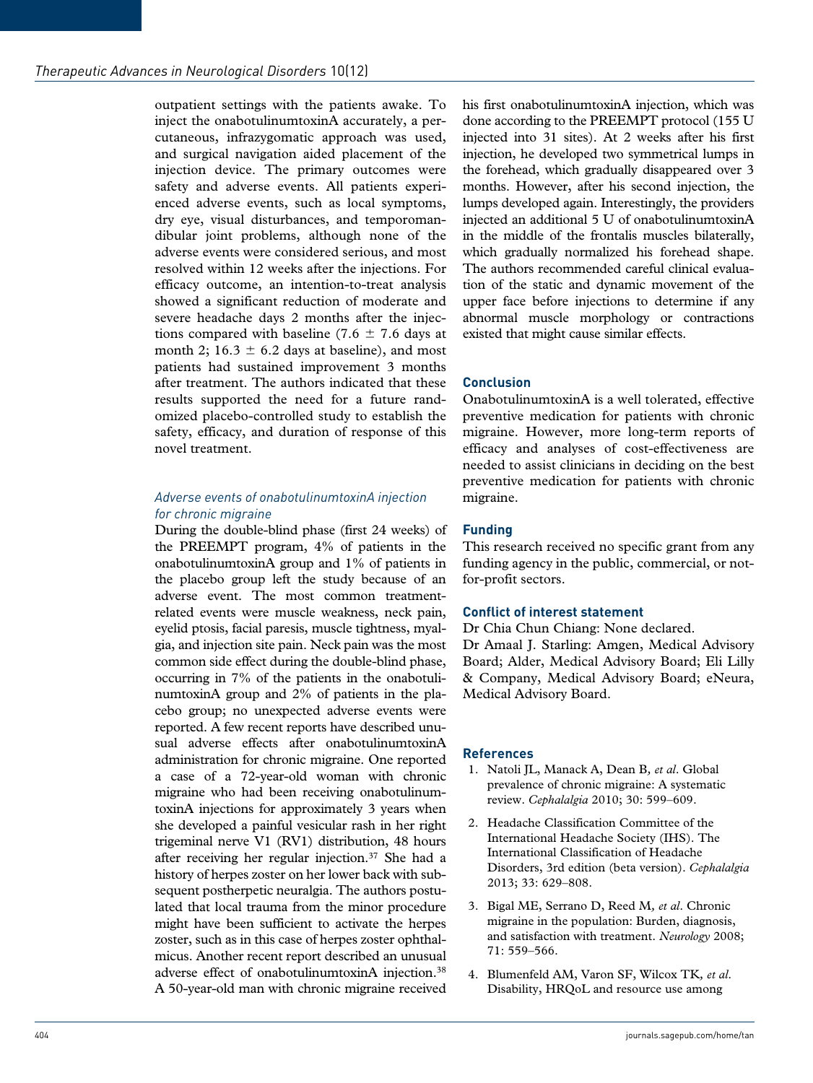outpatient settings with the patients awake. To inject the onabotulinumtoxinA accurately, a percutaneous, infrazygomatic approach was used, and surgical navigation aided placement of the injection device. The primary outcomes were safety and adverse events. All patients experienced adverse events, such as local symptoms, dry eye, visual disturbances, and temporomandibular joint problems, although none of the adverse events were considered serious, and most resolved within 12 weeks after the injections. For efficacy outcome, an intention-to-treat analysis showed a significant reduction of moderate and severe headache days 2 months after the injections compared with baseline (7.6  $\pm$  7.6 days at month 2;  $16.3 \pm 6.2$  days at baseline), and most patients had sustained improvement 3 months after treatment. The authors indicated that these results supported the need for a future randomized placebo-controlled study to establish the safety, efficacy, and duration of response of this novel treatment.

# *Adverse events of onabotulinumtoxinA injection for chronic migraine*

During the double-blind phase (first 24 weeks) of the PREEMPT program, 4% of patients in the onabotulinumtoxinA group and 1% of patients in the placebo group left the study because of an adverse event. The most common treatmentrelated events were muscle weakness, neck pain, eyelid ptosis, facial paresis, muscle tightness, myalgia, and injection site pain. Neck pain was the most common side effect during the double-blind phase, occurring in 7% of the patients in the onabotulinumtoxinA group and 2% of patients in the placebo group; no unexpected adverse events were reported. A few recent reports have described unusual adverse effects after onabotulinumtoxinA administration for chronic migraine. One reported a case of a 72-year-old woman with chronic migraine who had been receiving onabotulinumtoxinA injections for approximately 3 years when she developed a painful vesicular rash in her right trigeminal nerve V1 (RV1) distribution, 48 hours after receiving her regular injection.37 She had a history of herpes zoster on her lower back with subsequent postherpetic neuralgia. The authors postulated that local trauma from the minor procedure might have been sufficient to activate the herpes zoster, such as in this case of herpes zoster ophthalmicus. Another recent report described an unusual adverse effect of onabotulinumtoxinA injection.38 A 50-year-old man with chronic migraine received

his first onabotulinumtoxinA injection, which was done according to the PREEMPT protocol (155 U injected into 31 sites). At 2 weeks after his first injection, he developed two symmetrical lumps in the forehead, which gradually disappeared over 3 months. However, after his second injection, the lumps developed again. Interestingly, the providers injected an additional 5 U of onabotulinumtoxinA in the middle of the frontalis muscles bilaterally, which gradually normalized his forehead shape. The authors recommended careful clinical evaluation of the static and dynamic movement of the upper face before injections to determine if any abnormal muscle morphology or contractions existed that might cause similar effects.

# **Conclusion**

OnabotulinumtoxinA is a well tolerated, effective preventive medication for patients with chronic migraine. However, more long-term reports of efficacy and analyses of cost-effectiveness are needed to assist clinicians in deciding on the best preventive medication for patients with chronic migraine.

#### **Funding**

This research received no specific grant from any funding agency in the public, commercial, or notfor-profit sectors.

#### **Conflict of interest statement**

Dr Chia Chun Chiang: None declared. Dr Amaal J. Starling: Amgen, Medical Advisory Board; Alder, Medical Advisory Board; Eli Lilly & Company, Medical Advisory Board; eNeura, Medical Advisory Board.

# **References**

- 1. Natoli JL, Manack A, Dean B*, et al*. Global prevalence of chronic migraine: A systematic review. *Cephalalgia* 2010; 30: 599–609.
- 2. Headache Classification Committee of the International Headache Society (IHS). The International Classification of Headache Disorders, 3rd edition (beta version). *Cephalalgia* 2013; 33: 629–808.
- 3. Bigal ME, Serrano D, Reed M*, et al*. Chronic migraine in the population: Burden, diagnosis, and satisfaction with treatment. *Neurology* 2008; 71: 559–566.
- 4. Blumenfeld AM, Varon SF, Wilcox TK*, et al*. Disability, HRQoL and resource use among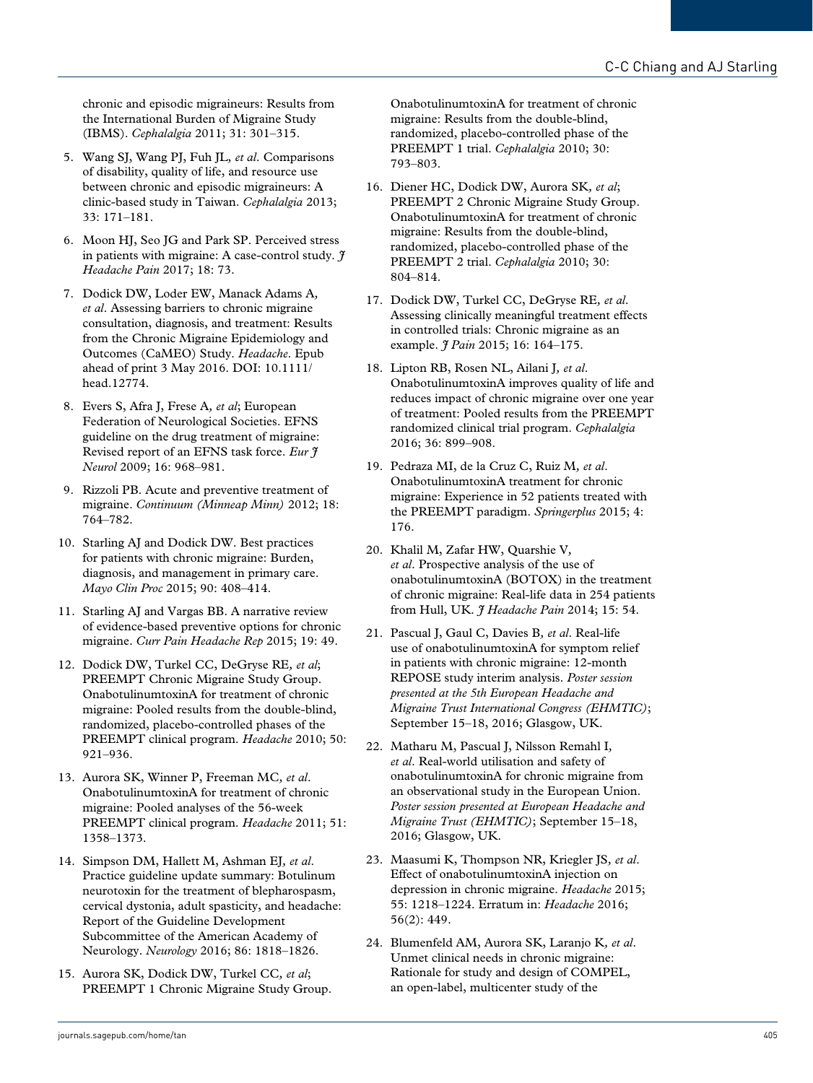chronic and episodic migraineurs: Results from the International Burden of Migraine Study (IBMS). *Cephalalgia* 2011; 31: 301–315.

- 5. Wang SJ, Wang PJ, Fuh JL*, et al*. Comparisons of disability, quality of life, and resource use between chronic and episodic migraineurs: A clinic-based study in Taiwan. *Cephalalgia* 2013; 33: 171–181.
- 6. Moon HJ, Seo JG and Park SP. Perceived stress in patients with migraine: A case-control study. *J Headache Pain* 2017; 18: 73.
- 7. Dodick DW, Loder EW, Manack Adams A*, et al*. Assessing barriers to chronic migraine consultation, diagnosis, and treatment: Results from the Chronic Migraine Epidemiology and Outcomes (CaMEO) Study. *Headache*. Epub ahead of print 3 May 2016. DOI: 10.1111/ head.12774.
- 8. Evers S, Afra J, Frese A*, et al*; European Federation of Neurological Societies. EFNS guideline on the drug treatment of migraine: Revised report of an EFNS task force. *Eur J Neurol* 2009; 16: 968–981.
- 9. Rizzoli PB. Acute and preventive treatment of migraine. *Continuum (Minneap Minn)* 2012; 18: 764–782.
- 10. Starling AJ and Dodick DW. Best practices for patients with chronic migraine: Burden, diagnosis, and management in primary care. *Mayo Clin Proc* 2015; 90: 408–414.
- 11. Starling AJ and Vargas BB. A narrative review of evidence-based preventive options for chronic migraine. *Curr Pain Headache Rep* 2015; 19: 49.
- 12. Dodick DW, Turkel CC, DeGryse RE*, et al*; PREEMPT Chronic Migraine Study Group. OnabotulinumtoxinA for treatment of chronic migraine: Pooled results from the double-blind, randomized, placebo-controlled phases of the PREEMPT clinical program. *Headache* 2010; 50: 921–936.
- 13. Aurora SK, Winner P, Freeman MC*, et al*. OnabotulinumtoxinA for treatment of chronic migraine: Pooled analyses of the 56-week PREEMPT clinical program. *Headache* 2011; 51: 1358–1373.
- 14. Simpson DM, Hallett M, Ashman EJ*, et al*. Practice guideline update summary: Botulinum neurotoxin for the treatment of blepharospasm, cervical dystonia, adult spasticity, and headache: Report of the Guideline Development Subcommittee of the American Academy of Neurology. *Neurology* 2016; 86: 1818–1826.
- 15. Aurora SK, Dodick DW, Turkel CC*, et al*; PREEMPT 1 Chronic Migraine Study Group.

OnabotulinumtoxinA for treatment of chronic migraine: Results from the double-blind, randomized, placebo-controlled phase of the PREEMPT 1 trial. *Cephalalgia* 2010; 30: 793–803.

- 16. Diener HC, Dodick DW, Aurora SK*, et al*; PREEMPT 2 Chronic Migraine Study Group. OnabotulinumtoxinA for treatment of chronic migraine: Results from the double-blind, randomized, placebo-controlled phase of the PREEMPT 2 trial. *Cephalalgia* 2010; 30: 804–814.
- 17. Dodick DW, Turkel CC, DeGryse RE*, et al*. Assessing clinically meaningful treatment effects in controlled trials: Chronic migraine as an example.  $\frac{9}{7}$  *Pain* 2015; 16: 164-175.
- 18. Lipton RB, Rosen NL, Ailani J*, et al*. OnabotulinumtoxinA improves quality of life and reduces impact of chronic migraine over one year of treatment: Pooled results from the PREEMPT randomized clinical trial program. *Cephalalgia* 2016; 36: 899–908.
- 19. Pedraza MI, de la Cruz C, Ruiz M*, et al*. OnabotulinumtoxinA treatment for chronic migraine: Experience in 52 patients treated with the PREEMPT paradigm. *Springerplus* 2015; 4: 176.
- 20. Khalil M, Zafar HW, Quarshie V*, et al*. Prospective analysis of the use of onabotulinumtoxinA (BOTOX) in the treatment of chronic migraine: Real-life data in 254 patients from Hull, UK. *J Headache Pain* 2014; 15: 54.
- 21. Pascual J, Gaul C, Davies B*, et al*. Real-life use of onabotulinumtoxinA for symptom relief in patients with chronic migraine: 12-month REPOSE study interim analysis. *Poster session presented at the 5th European Headache and Migraine Trust International Congress (EHMTIC)*; September 15–18, 2016; Glasgow, UK.
- 22. Matharu M, Pascual J, Nilsson Remahl I*, et al*. Real-world utilisation and safety of onabotulinumtoxinA for chronic migraine from an observational study in the European Union. *Poster session presented at European Headache and Migraine Trust (EHMTIC)*; September 15–18, 2016; Glasgow, UK.
- 23. Maasumi K, Thompson NR, Kriegler JS*, et al*. Effect of onabotulinumtoxinA injection on depression in chronic migraine. *Headache* 2015; 55: 1218–1224. Erratum in: *Headache* 2016; 56(2): 449.
- 24. Blumenfeld AM, Aurora SK, Laranjo K*, et al*. Unmet clinical needs in chronic migraine: Rationale for study and design of COMPEL, an open-label, multicenter study of the